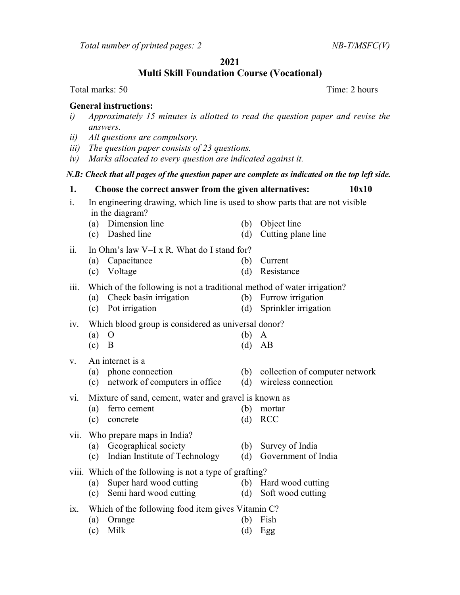Total number of printed pages:  $2$  NB-T/MSFC(V)

### 2021

Multi Skill Foundation Course (Vocational)

Total marks: 50 Total marks: 50

#### General instructions:

- i) Approximately 15 minutes is allotted to read the question paper and revise the answers.
- ii) All questions are compulsory.
- iii) The question paper consists of 23 questions.
- iv) Marks allocated to every question are indicated against it.

#### N.B: Check that all pages of the question paper are complete as indicated on the top left side.

- 1. Choose the correct answer from the given alternatives: 10x10 i. In engineering drawing, which line is used to show parts that are not visible in the diagram?
	- (a) Dimension line (b) Object line
	- (c) Dashed line (d) Cutting plane line

## ii. In Ohm's law  $V=I \times R$ . What do I stand for?

- (a) Capacitance (b) Current
- (c) Voltage (d) Resistance

## iii. Which of the following is not a traditional method of water irrigation?

- (a) Check basin irrigation (b) Furrow irrigation
- (c) Pot irrigation (d) Sprinkler irrigation

## iv. Which blood group is considered as universal donor?

- (a) O (b) A
- (c) B  $(d) AB$
- v. An internet is a
	- (a) phone connection (b) collection of computer network
	- (c) network of computers in office (d) wireless connection

# vi. Mixture of sand, cement, water and gravel is known as

- (a) ferro cement (b) mortar
- (c) concrete (d) RCC
- vii. Who prepare maps in India?
	- (a) Geographical society (b) Survey of India
	- (c) Indian Institute of Technology (d) Government of India
- viii. Which of the following is not a type of grafting?
	- (a) Super hard wood cutting (b) Hard wood cutting
	- (c) Semi hard wood cutting (d) Soft wood cutting
- ix. Which of the following food item gives Vitamin C?
	- (a) Orange (b) Fish (c) Milk (d) Egg
- 
- -
	-
	-
- 
- 
- -
- -
	-
- 
- 
- 
- 
- 
- -